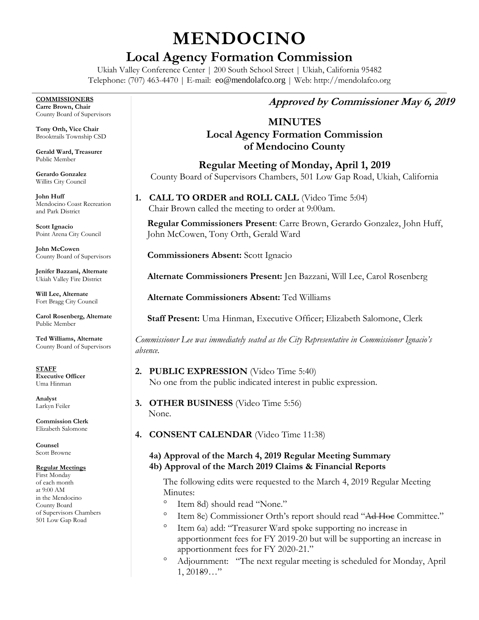# **MENDOCINO**

# **Local Agency Formation Commission**

Ukiah Valley Conference Center | 200 South School Street | Ukiah, California 95482 Telephone: (707) 463-4470 | E-mail: [eo@mendolafco.org](mailto:eo@mendolafco.org) | Web: http://mendolafco.org

**COMMISSIONERS Carre Brown, Chair** County Board of Supervisors

**Tony Orth, Vice Chair** Brooktrails Township CSD

**Gerald Ward, Treasurer** Public Member

**Gerardo Gonzalez** Willits City Council

**John Huff**  Mendocino Coast Recreation and Park District

**Scott Ignacio** Point Arena City Council

**John McCowen** County Board of Supervisors

**Jenifer Bazzani, Alternate** Ukiah Valley Fire District

**Will Lee, Alternate** Fort Bragg City Council

**Carol Rosenberg, Alternate** Public Member

**Ted Williams, Alternate** County Board of Supervisors

**STAFF Executive Officer** Uma Hinman

**Analyst** Larkyn Feiler

**Commission Clerk** Elizabeth Salomone

**Counsel** Scott Browne

#### **Regular Meetings**

First Monday of each month at 9:00 AM in the Mendocino County Board of Supervisors Chambers 501 Low Gap Road

# **Approved by Commissioner May 6, 2019**

# **MINUTES Local Agency Formation Commission of Mendocino County**

**Regular Meeting of Monday, April 1, 2019** County Board of Supervisors Chambers, 501 Low Gap Road, Ukiah, California

**1. CALL TO ORDER and ROLL CALL** (Video Time 5:04) Chair Brown called the meeting to order at 9:00am.

**Regular Commissioners Present**: Carre Brown, Gerardo Gonzalez, John Huff, John McCowen, Tony Orth, Gerald Ward

**Commissioners Absent:** Scott Ignacio

**Alternate Commissioners Present:** Jen Bazzani, Will Lee, Carol Rosenberg

**Alternate Commissioners Absent:** Ted Williams

**Staff Present:** Uma Hinman, Executive Officer; Elizabeth Salomone, Clerk

*Commissioner Lee was immediately seated as the City Representative in Commissioner Ignacio's absence.*

- **2. PUBLIC EXPRESSION** (Video Time 5:40) No one from the public indicated interest in public expression.
- **3. OTHER BUSINESS** (Video Time 5:56) None.
- **4. CONSENT CALENDAR** (Video Time 11:38)

#### **4a) Approval of the March 4, 2019 Regular Meeting Summary 4b) Approval of the March 2019 Claims & Financial Reports**

The following edits were requested to the March 4, 2019 Regular Meeting Minutes:

- Item 8d) should read "None."
- Item 8e) Commissioner Orth's report should read "Ad Hoc Committee."
- Item 6a) add: "Treasurer Ward spoke supporting no increase in apportionment fees for FY 2019-20 but will be supporting an increase in apportionment fees for FY 2020-21."
- Adjournment: "The next regular meeting is scheduled for Monday, April 1, 20189…"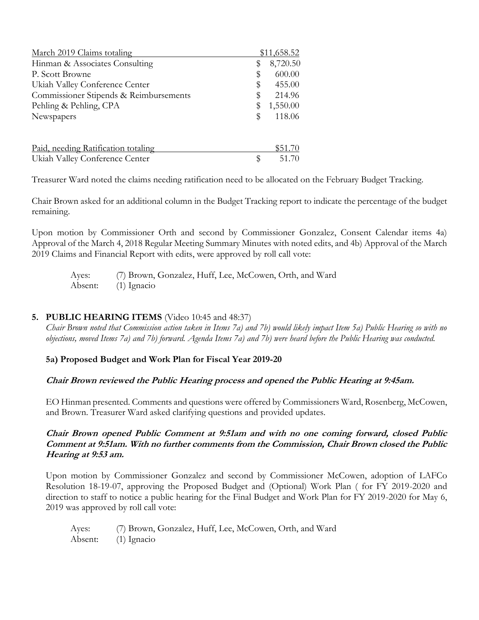| March 2019 Claims totaling             | \$11,658.52    |
|----------------------------------------|----------------|
| Hinman & Associates Consulting         | \$<br>8,720.50 |
| P. Scott Browne                        | \$<br>600.00   |
| Ukiah Valley Conference Center         | \$<br>455.00   |
| Commissioner Stipends & Reimbursements | \$<br>214.96   |
| Pehling & Pehling, CPA                 | \$<br>1,550.00 |
| Newspapers                             | \$<br>118.06   |
| Paid, needing Ratification totaling    | \$51.70        |
| Ukiah Valley Conference Center         | \$<br>51.70    |

Treasurer Ward noted the claims needing ratification need to be allocated on the February Budget Tracking.

Chair Brown asked for an additional column in the Budget Tracking report to indicate the percentage of the budget remaining.

Upon motion by Commissioner Orth and second by Commissioner Gonzalez, Consent Calendar items 4a) Approval of the March 4, 2018 Regular Meeting Summary Minutes with noted edits, and 4b) Approval of the March 2019 Claims and Financial Report with edits, were approved by roll call vote:

Ayes: (7) Brown, Gonzalez, Huff, Lee, McCowen, Orth, and Ward Absent: (1) Ignacio

#### **5. PUBLIC HEARING ITEMS** (Video 10:45 and 48:37)

*Chair Brown noted that Commission action taken in Items 7a) and 7b) would likely impact Item 5a) Public Hearing so with no objections, moved Items 7a) and 7b) forward. Agenda Items 7a) and 7b) were heard before the Public Hearing was conducted.*

**5a) Proposed Budget and Work Plan for Fiscal Year 2019-20**

## **Chair Brown reviewed the Public Hearing process and opened the Public Hearing at 9:45am.**

EO Hinman presented. Comments and questions were offered by Commissioners Ward, Rosenberg, McCowen, and Brown. Treasurer Ward asked clarifying questions and provided updates.

**Chair Brown opened Public Comment at 9:51am and with no one coming forward, closed Public Comment at 9:51am. With no further comments from the Commission, Chair Brown closed the Public Hearing at 9:53 am.**

Upon motion by Commissioner Gonzalez and second by Commissioner McCowen, adoption of LAFCo Resolution 18-19-07, approving the Proposed Budget and (Optional) Work Plan ( for FY 2019-2020 and direction to staff to notice a public hearing for the Final Budget and Work Plan for FY 2019-2020 for May 6, 2019 was approved by roll call vote:

| Ayes:   | (7) Brown, Gonzalez, Huff, Lee, McCowen, Orth, and Ward |
|---------|---------------------------------------------------------|
| Absent: | $(1)$ Ignacio                                           |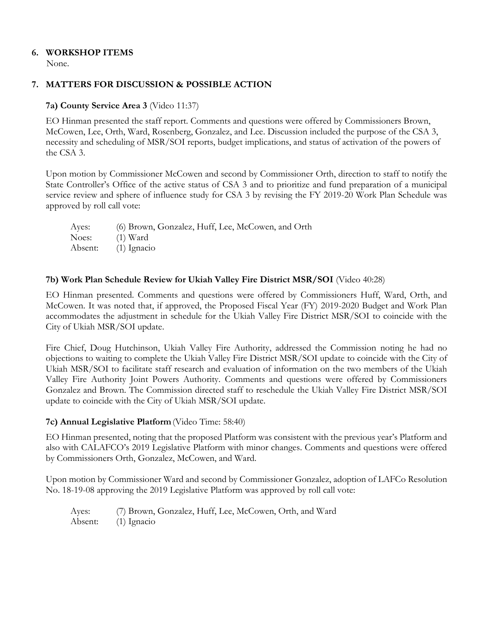#### **6. WORKSHOP ITEMS**

None.

#### **7. MATTERS FOR DISCUSSION & POSSIBLE ACTION**

#### **7a) County Service Area 3** (Video 11:37)

EO Hinman presented the staff report. Comments and questions were offered by Commissioners Brown, McCowen, Lee, Orth, Ward, Rosenberg, Gonzalez, and Lee. Discussion included the purpose of the CSA 3, necessity and scheduling of MSR/SOI reports, budget implications, and status of activation of the powers of the CSA 3.

Upon motion by Commissioner McCowen and second by Commissioner Orth, direction to staff to notify the State Controller's Office of the active status of CSA 3 and to prioritize and fund preparation of a municipal service review and sphere of influence study for CSA 3 by revising the FY 2019-20 Work Plan Schedule was approved by roll call vote:

| Ayes:   | (6) Brown, Gonzalez, Huff, Lee, McCowen, and Orth |
|---------|---------------------------------------------------|
| Noes:   | $(1)$ Ward                                        |
| Absent: | $(1)$ Ignacio                                     |

#### **7b) Work Plan Schedule Review for Ukiah Valley Fire District MSR/SOI** (Video 40:28)

EO Hinman presented. Comments and questions were offered by Commissioners Huff, Ward, Orth, and McCowen. It was noted that, if approved, the Proposed Fiscal Year (FY) 2019-2020 Budget and Work Plan accommodates the adjustment in schedule for the Ukiah Valley Fire District MSR/SOI to coincide with the City of Ukiah MSR/SOI update.

Fire Chief, Doug Hutchinson, Ukiah Valley Fire Authority, addressed the Commission noting he had no objections to waiting to complete the Ukiah Valley Fire District MSR/SOI update to coincide with the City of Ukiah MSR/SOI to facilitate staff research and evaluation of information on the two members of the Ukiah Valley Fire Authority Joint Powers Authority. Comments and questions were offered by Commissioners Gonzalez and Brown. The Commission directed staff to reschedule the Ukiah Valley Fire District MSR/SOI update to coincide with the City of Ukiah MSR/SOI update.

#### **7c) Annual Legislative Platform**(Video Time: 58:40)

EO Hinman presented, noting that the proposed Platform was consistent with the previous year's Platform and also with CALAFCO's 2019 Legislative Platform with minor changes. Comments and questions were offered by Commissioners Orth, Gonzalez, McCowen, and Ward.

Upon motion by Commissioner Ward and second by Commissioner Gonzalez, adoption of LAFCo Resolution No. 18-19-08 approving the 2019 Legislative Platform was approved by roll call vote:

Ayes: (7) Brown, Gonzalez, Huff, Lee, McCowen, Orth, and Ward Absent: (1) Ignacio